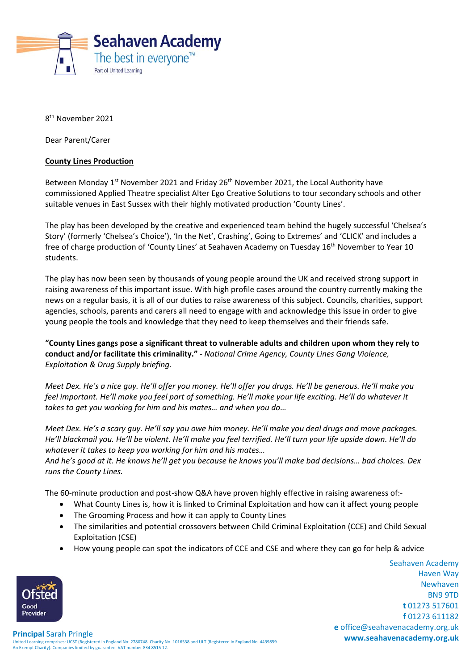

8<sup>th</sup> November 2021

Dear Parent/Carer

## **County Lines Production**

Between Monday 1<sup>st</sup> November 2021 and Friday 26<sup>th</sup> November 2021, the Local Authority have commissioned Applied Theatre specialist Alter Ego Creative Solutions to tour secondary schools and other suitable venues in East Sussex with their highly motivated production 'County Lines'.

The play has been developed by the creative and experienced team behind the hugely successful 'Chelsea's Story' (formerly 'Chelsea's Choice'), 'In the Net', Crashing', Going to Extremes' and 'CLICK' and includes a free of charge production of 'County Lines' at Seahaven Academy on Tuesday 16th November to Year 10 students.

The play has now been seen by thousands of young people around the UK and received strong support in raising awareness of this important issue. With high profile cases around the country currently making the news on a regular basis, it is all of our duties to raise awareness of this subject. Councils, charities, support agencies, schools, parents and carers all need to engage with and acknowledge this issue in order to give young people the tools and knowledge that they need to keep themselves and their friends safe.

**"County Lines gangs pose a significant threat to vulnerable adults and children upon whom they rely to conduct and/or facilitate this criminality."** *‐ National Crime Agency, County Lines Gang Violence, Exploitation & Drug Supply briefing.* 

*Meet Dex. He's a nice guy. He'll offer you money. He'll offer you drugs. He'll be generous. He'll make you feel important. He'll make you feel part of something. He'll make your life exciting. He'll do whatever it takes to get you working for him and his mates… and when you do…* 

*Meet Dex. He's a scary guy. He'll say you owe him money. He'll make you deal drugs and move packages. He'll blackmail you. He'll be violent. He'll make you feel terrified. He'll turn your life upside down. He'll do whatever it takes to keep you working for him and his mates…* 

*And he's good at it. He knows he'll get you because he knows you'll make bad decisions… bad choices. Dex runs the County Lines.* 

The 60-minute production and post-show Q&A have proven highly effective in raising awareness of:-

- What County Lines is, how it is linked to Criminal Exploitation and how can it affect young people
- The Grooming Process and how it can apply to County Lines
- The similarities and potential crossovers between Child Criminal Exploitation (CCE) and Child Sexual Exploitation (CSE)
- How young people can spot the indicators of CCE and CSE and where they can go for help & advice

Seahaven Academy Haven Way Newhaven BN9 9TD **t** 01273 517601 **f** 01273 611182 **e** office@seahavenacademy.org.uk